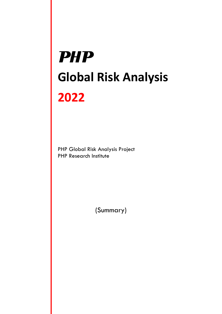# **PHP Global Risk Analysis 2022**

PHP Global Risk Analysis Project PHP Research Institute

(Summary)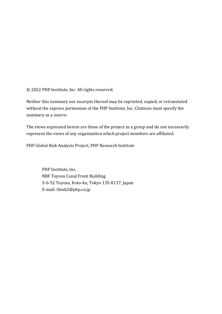© 2022 PHP Institute, Inc. All rights reserved.

Neither this summary nor excerpts thereof may be reprinted, copied, or retranslated without the express permission of the PHP Institute, Inc. Citations must specify the summary as a source.

The views expressed herein are those of the project as a group and do not necessarily represent the views of any organization which project members are affiliated.

PHP Global Risk Analysis Project, PHP Research Institute

PHP Institute, Inc. NBF Toyosu Canal Front Building 5-6-52 Toyosu, Koto-ku, Tokyo 135-8137, Japan E-mail: think2@php.co.jp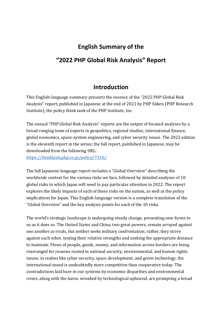## **English Summary of the "2022 PHP Global Risk Analysis" Report**

## **Introduction**

This English-language summary presents the essence of the "2022 PHP Global Risk Analysis" report, published in Japanese at the end of 2021 by PHP Sōken (PHP Research Institute), the policy think tank of the PHP Institute, Inc.

The annual "PHP Global Risk Analysis" reports are the output of focused analyses by a broad-ranging team of experts in geopolitics, regional studies, international finance, global economics, space-system engineering, and cyber security issues. The 2022 edition is the eleventh report in the series; the full report, published in Japanese, may be downloaded from the following URL: <https://thinktank.php.co.jp/policy/7210/>

The full Japanese-language report includes a "Global Overview" describing the worldwide context for the various risks we face, followed by detailed analyses of 10 global risks to which Japan will need to pay particular attention in 2022. The report explores the likely impacts of each of these risks on the nation, as well as the policy implications for Japan. This English-language version is a complete translation of the "Global Overview" and the key analysis points for each of the 10 risks.

The world's strategic landscape is undergoing steady change, presenting new forms to us as it does so. The United States and China, two great powers, remain arrayed against one another as rivals, but neither seeks military confrontation; rather, they strive against each other, testing their relative strengths and seeking the appropriate distance to maintain. Flows of people, goods, money, and information across borders are being rearranged for reasons rooted in national security, environmental, and human rights issues; in realms like cyber security, space development, and green technology, the international mood is undoubtedly more competitive than cooperative today. The contradictions laid bare in our systems by economic disparities and environmental crises, along with the havoc wreaked by technological upheaval, are prompting a broad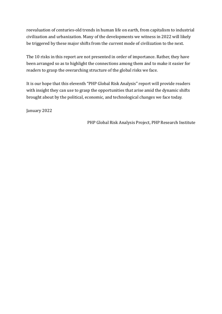reevaluation of centuries-old trends in human life on earth, from capitalism to industrial civilization and urbanization. Many of the developments we witness in 2022 will likely be triggered by these major shifts from the current mode of civilization to the next.

The 10 risks in this report are not presented in order of importance. Rather, they have been arranged so as to highlight the connections among them and to make it easier for readers to grasp the overarching structure of the global risks we face.

It is our hope that this eleventh "PHP Global Risk Analysis" report will provide readers with insight they can use to grasp the opportunities that arise amid the dynamic shifts brought about by the political, economic, and technological changes we face today.

January 2022

PHP Global Risk Analysis Project, PHP Research Institute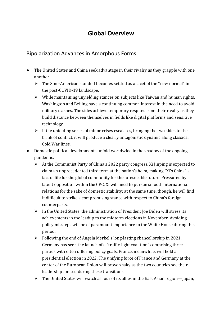## **Global Overview**

## Bipolarization Advances in Amorphous Forms

- The United States and China seek advantage in their rivalry as they grapple with one another.
	- ➢ The Sino-American standoff becomes settled as a facet of the "new normal" in the post-COVID-19 landscape.
	- ➢ While maintaining unyielding stances on subjects like Taiwan and human rights, Washington and Beijing have a continuing common interest in the need to avoid military clashes. The sides achieve temporary respites from their rivalry as they build distance between themselves in fields like digital platforms and sensitive technology.
	- $\triangleright$  If the unfolding series of minor crises escalates, bringing the two sides to the brink of conflict, it will produce a clearly antagonistic dynamic along classical Cold War lines.
- Domestic political developments unfold worldwide in the shadow of the ongoing pandemic.
	- ➢ At the Communist Party of China's 2022 party congress, Xi Jinping is expected to claim an unprecedented third term at the nation's helm, making "Xi's China" a fact of life for the global community for the foreseeable future. Pressured by latent opposition within the CPC, Xi will need to pursue smooth international relations for the sake of domestic stability; at the same time, though, he will find it difficult to strike a compromising stance with respect to China's foreign counterparts.
	- $\triangleright$  In the United States, the administration of President Joe Biden will stress its achievements in the leadup to the midterm elections in November. Avoiding policy missteps will be of paramount importance to the White House during this period.
	- ➢ Following the end of Angela Merkel's long-lasting chancellorship in 2021, Germany has seen the launch of a "traffic-light coalition" comprising three parties with often differing policy goals. France, meanwhile, will hold a presidential election in 2022. The unifying force of France and Germany at the center of the European Union will prove shaky as the two countries see their leadership limited during these transitions.
	- $\triangleright$  The United States will watch as four of its allies in the East Asian region—Japan,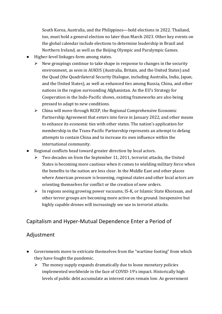South Korea, Australia, and the Philippines—hold elections in 2022. Thailand, too, must hold a general election no later than March 2023. Other key events on the global calendar include elections to determine leadership in Brazil and Northern Ireland, as well as the Beijing Olympic and Paralympic Games.

- Higher-level linkages form among states.
	- $\triangleright$  New groupings continue to take shape in response to changes in the security environment, as seen in AUKUS (Australia, Britain, and the United States) and the Quad (the Quadrilateral Security Dialogue, including Australia, India, Japan, and the United States), as well as enhanced ties among Russia, China, and other nations in the region surrounding Afghanistan. As the EU's Strategy for Cooperation in the Indo-Pacific shows, existing frameworks are also being pressed to adapt to new conditions.
	- $\triangleright$  China will move through RCEP, the Regional Comprehensive Economic Partnership Agreement that enters into force in January 2022, and other means to enhance its economic ties with other states. The nation's application for membership in the Trans-Pacific Partnership represents an attempt to defang attempts to contain China and to increase its own influence within the international community.
- Regional conflicts head toward greater direction by local actors.
	- ➢ Two decades on from the September 11, 2011, terrorist attacks, the United States is becoming more cautious when it comes to wielding military force when the benefits to the nation are less clear. In the Middle East and other places where American pressure is lessening, regional states and other local actors are orienting themselves for conflict or the creation of new orders.
	- $\triangleright$  In regions seeing growing power vacuums, IS-K, or Islamic State Khorasan, and other terror groups are becoming more active on the ground. Inexpensive but highly capable drones will increasingly see use in terrorist attacks.

## Capitalism and Hyper-Mutual Dependence Enter a Period of

#### Adjustment

- Governments move to extricate themselves from the "wartime footing" from which they have fought the pandemic.
	- $\triangleright$  The money supply expands dramatically due to loose monetary policies implemented worldwide in the face of COVID-19's impact. Historically high levels of public debt accumulate as interest rates remain low. As government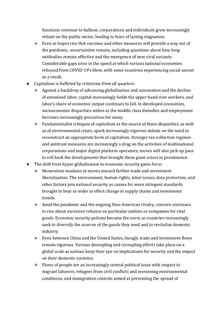functions continue to balloon, corporations and individuals grow increasingly reliant on the public sector, leading to fears of lasting stagnation.

- $\triangleright$  Even as hopes rise that vaccines and other measures will provide a way out of the pandemic, uncertainties remain, including questions about how long antibodies remain effective and the emergence of new viral variants. Considerable gaps arise in the speed at which various national economies rebound from COVID-19's blow, with some countries experiencing social unrest as a result.
- Capitalism is buffeted by criticisms from all quarters.
	- $\triangleright$  Against a backdrop of advancing globalization and automation and the decline of unionized labor, capital increasingly holds the upper hand over workers, and labor's share of economic output continues to fall. In developed economies, socioeconomic disparities widen as the middle class dwindles and employment becomes increasingly precarious for many.
	- $\triangleright$  Fundamentalist critiques of capitalism as the source of these disparities, as well as of environmental crises, spark increasingly vigorous debate on the need to reconstruct an appropriate form of capitalism. Stronger tax-collection regimes and antitrust measures are increasingly a drag on the activities of multinational corporations and major digital platform operators; moves will also pick up pace to roll back the developments that brought these giant actors to prominence.
- The shift from hyper globalization to economic security gains force.
	- ➢ Momentum weakens in moves toward further trade and investment liberalization. The environment, human rights, labor issues, data protection, and other factors join national security as causes for more stringent standards brought to bear in order to effect change in supply chains and investment trends.
	- $\triangleright$  Amid the pandemic and the ongoing Sino-American rivalry, concern continues to rise about excessive reliance on particular nations or companies for vital goods. Economic security policies become the norm as countries increasingly seek to diversify the sources of the goods they need and to revitalize domestic industry.
	- ➢ Even between China and the United States, though, trade and investment flows remain vigorous. Various decoupling and recoupling efforts take place on a global scale as nations keep their eye on implications for security and the impact on their domestic societies.
	- $\triangleright$  Flows of people are an increasingly central political issue with respect to migrant laborers, refugees from civil conflicts and worsening environmental conditions, and immigration controls aimed at preventing the spread of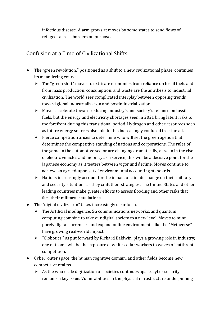infectious disease. Alarm grows at moves by some states to send flows of refugees across borders on purpose.

## Confusion at a Time of Civilizational Shifts

- The "green revolution," positioned as a shift to a new civilizational phase, continues its meandering course.
	- ➢ The "green shift" moves to extricate economies from reliance on fossil fuels and from mass production, consumption, and waste are the antithesis to industrial civilization. The world sees complicated interplay between opposing trends toward global industrialization and postindustrialization.
	- ➢ Moves accelerate toward reducing industry's and society's reliance on fossil fuels, but the energy and electricity shortages seen in 2021 bring latent risks to the forefront during this transitional period. Hydrogen and other resources seen as future energy sources also join in this increasingly confused free-for-all.
	- $\triangleright$  Fierce competition arises to determine who will set the green agenda that determines the competitive standing of nations and corporations. The rules of the game in the automotive sector are changing dramatically, as seen in the rise of electric vehicles and mobility as a service; this will be a decisive point for the Japanese economy as it teeters between vigor and decline. Moves continue to achieve an agreed-upon set of environmental accounting standards.
	- $\triangleright$  Nations increasingly account for the impact of climate change on their military and security situations as they craft their strategies. The United States and other leading countries make greater efforts to assess flooding and other risks that face their military installations.
- The "digital civilization" takes increasingly clear form.
	- $\triangleright$  The Artificial intelligence, 5G communications networks, and quantum computing combine to take our digital society to a new level. Moves to mint purely digital currencies and expand online environments like the "Metaverse" have growing real-world impact.
	- ➢ "Globotics," as put forward by Richard Baldwin, plays a growing role in industry; one outcome will be the exposure of white-collar workers to waves of cutthroat competition.
- Cyber, outer space, the human cognitive domain, and other fields become new competitive realms.
	- $\triangleright$  As the wholesale digitization of societies continues apace, cyber security remains a key issue. Vulnerabilities in the physical infrastructure underpinning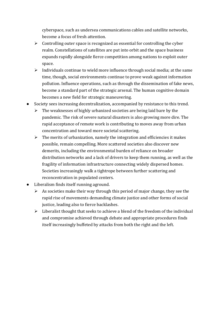cyberspace, such as undersea communications cables and satellite networks, become a focus of fresh attention.

- $\triangleright$  Controlling outer space is recognized as essential for controlling the cyber realm. Constellations of satellites are put into orbit and the space business expands rapidly alongside fierce competition among nations to exploit outer space.
- $\triangleright$  Individuals continue to wield more influence through social media; at the same time, though, social environments continue to prove weak against information pollution. Influence operations, such as through the dissemination of fake news, become a standard part of the strategic arsenal. The human cognitive domain becomes a new field for strategic maneuvering.
- Society sees increasing decentralization, accompanied by resistance to this trend.
	- $\triangleright$  The weaknesses of highly urbanized societies are being laid bare by the pandemic. The risk of severe natural disasters is also growing more dire. The rapid acceptance of remote work is contributing to moves away from urban concentration and toward more societal scattering.
	- $\triangleright$  The merits of urbanization, namely the integration and efficiencies it makes possible, remain compelling. More scattered societies also discover new demerits, including the environmental burden of reliance on broader distribution networks and a lack of drivers to keep them running, as well as the fragility of information infrastructure connecting widely dispersed homes. Societies increasingly walk a tightrope between further scattering and reconcentration in populated centers.
- Liberalism finds itself running aground.
	- $\triangleright$  As societies make their way through this period of major change, they see the rapid rise of movements demanding climate justice and other forms of social justice, leading also to fierce backlashes.
	- $\triangleright$  Liberalist thought that seeks to achieve a blend of the freedom of the individual and compromise achieved through debate and appropriate procedures finds itself increasingly buffeted by attacks from both the right and the left.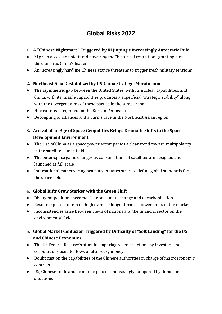## **Global Risks 2022**

- **1. A "Chinese Nightmare" Triggered by Xi Jinping's Increasingly Autocratic Rule**
- Xi given access to unfettered power by the "historical resolution" granting him a third term as China's leader
- An increasingly hardline Chinese stance threatens to trigger fresh military tensions

#### **2. Northeast Asia Destabilized by US-China Strategic Moratorium**

- The asymmetric gap between the United States, with its nuclear capabilities, and China, with its missile capabilities produces a superficial "strategic stability" along with the divergent aims of these parties in the same arena
- Nuclear crisis reignited on the Korean Peninsula
- Decoupling of alliances and an arms race in the Northeast Asian region
- **3. Arrival of an Age of Space Geopolitics Brings Dramatic Shifts to the Space Development Environment**
- The rise of China as a space power accompanies a clear trend toward multipolarity in the satellite launch field
- The outer-space game changes as constellations of satellites are designed and launched at full scale
- International maneuvering heats up as states strive to define global standards for the space field

#### **4. Global Rifts Grow Starker with the Green Shift**

- Divergent positions become clear on climate change and decarbonization
- Resource prices to remain high over the longer term as power shifts in the markets
- Inconsistencies arise between views of nations and the financial sector on the environmental field

#### **5. Global Market Confusion Triggered by Difficulty of "Soft Landing" for the US and Chinese Economies**

- The US Federal Reserve's stimulus tapering reverses actions by investors and corporations used to flows of ultra-easy money
- Doubt cast on the capabilities of the Chinese authorities in charge of macroeconomic controls
- US, Chinese trade and economic policies increasingly hampered by domestic situations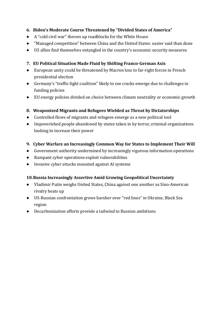#### **6. Biden's Moderate Course Threatened by "Divided States of America"**

- A "cold civil war" throws up roadblocks for the White House
- "Managed competition" between China and the United States: easier said than done
- US allies find themselves entangled in the country's economic security measures

#### **7. EU Political Situation Made Fluid by Shifting Franco-German Axis**

- European unity could be threatened by Macron loss to far-right forces in French presidential election
- Germany's "traffic-light coalition" likely to see cracks emerge due to challenges in funding policies
- EU energy policies divided on choice between climate neutrality or economic growth

#### **8. Weaponized Migrants and Refugees Wielded as Threat by Dictatorships**

- Controlled flows of migrants and refugees emerge as a new political tool
- Impoverished people abandoned by states taken in by terror, criminal organizations looking to increase their power

#### **9. Cyber Warfare an Increasingly Common Way for States to Implement Their Will**

- Government authority undermined by increasingly vigorous information operations
- Rampant cyber operations exploit vulnerabilities
- Invasive cyber attacks mounted against AI systems

#### **10.Russia Increasingly Assertive Amid Growing Geopolitical Uncertainty**

- Vladimir Putin weighs United States, China against one another as Sino-American rivalry heats up
- US-Russian confrontation grows harsher over "red lines" in Ukraine, Black Sea region
- Decarbonization efforts provide a tailwind to Russian ambitions